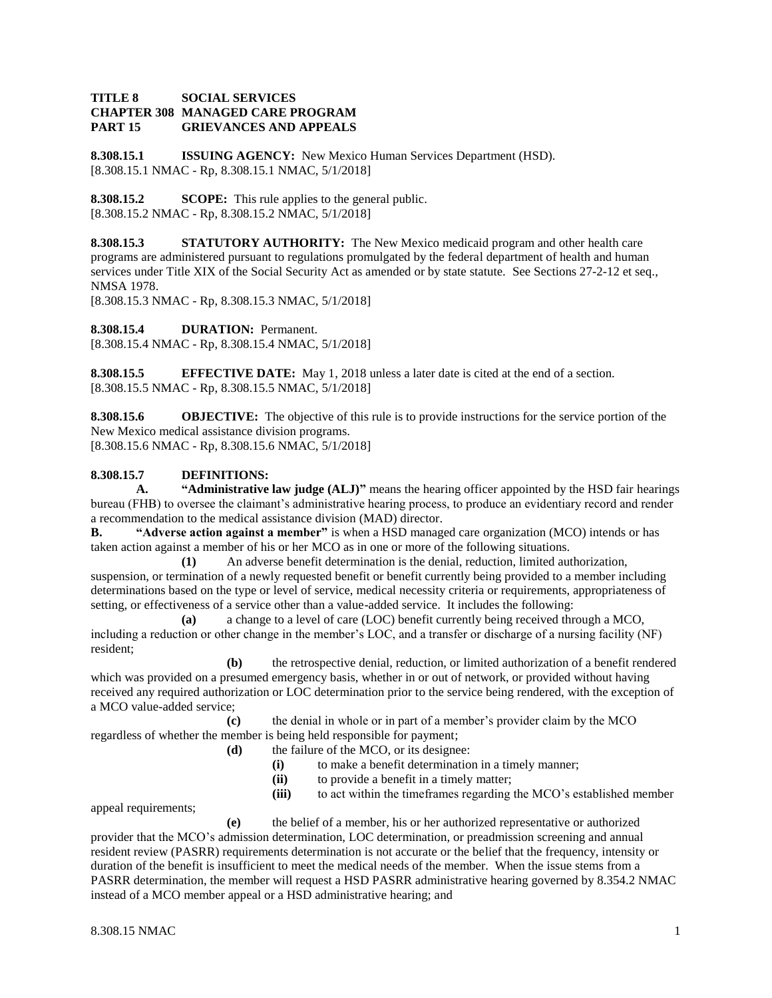## **TITLE 8 SOCIAL SERVICES CHAPTER 308 MANAGED CARE PROGRAM PART 15 GRIEVANCES AND APPEALS**

**8.308.15.1 ISSUING AGENCY:** New Mexico Human Services Department (HSD). [8.308.15.1 NMAC - Rp, 8.308.15.1 NMAC, 5/1/2018]

**8.308.15.2 SCOPE:** This rule applies to the general public. [8.308.15.2 NMAC - Rp, 8.308.15.2 NMAC, 5/1/2018]

**8.308.15.3 STATUTORY AUTHORITY:** The New Mexico medicaid program and other health care programs are administered pursuant to regulations promulgated by the federal department of health and human services under Title XIX of the Social Security Act as amended or by state statute. See Sections 27-2-12 et seq., NMSA 1978.

[8.308.15.3 NMAC - Rp, 8.308.15.3 NMAC, 5/1/2018]

**8.308.15.4 DURATION:** Permanent.

[8.308.15.4 NMAC - Rp, 8.308.15.4 NMAC, 5/1/2018]

**8.308.15.5 EFFECTIVE DATE:** May 1, 2018 unless a later date is cited at the end of a section. [8.308.15.5 NMAC - Rp, 8.308.15.5 NMAC, 5/1/2018]

**8.308.15.6 OBJECTIVE:** The objective of this rule is to provide instructions for the service portion of the New Mexico medical assistance division programs. [8.308.15.6 NMAC - Rp, 8.308.15.6 NMAC, 5/1/2018]

# **8.308.15.7 DEFINITIONS:**

**A. "Administrative law judge (ALJ)"** means the hearing officer appointed by the HSD fair hearings bureau (FHB) to oversee the claimant's administrative hearing process, to produce an evidentiary record and render a recommendation to the medical assistance division (MAD) director.

**B. "Adverse action against a member"** is when a HSD managed care organization (MCO) intends or has taken action against a member of his or her MCO as in one or more of the following situations.

**(1)** An adverse benefit determination is the denial, reduction, limited authorization, suspension, or termination of a newly requested benefit or benefit currently being provided to a member including determinations based on the type or level of service, medical necessity criteria or requirements, appropriateness of setting, or effectiveness of a service other than a value-added service. It includes the following:

**(a)** a change to a level of care (LOC) benefit currently being received through a MCO, including a reduction or other change in the member's LOC, and a transfer or discharge of a nursing facility (NF) resident;

**(b)** the retrospective denial, reduction, or limited authorization of a benefit rendered which was provided on a presumed emergency basis, whether in or out of network, or provided without having received any required authorization or LOC determination prior to the service being rendered, with the exception of a MCO value-added service;

**(c)** the denial in whole or in part of a member's provider claim by the MCO regardless of whether the member is being held responsible for payment;

- **(d)** the failure of the MCO, or its designee:
	- **(i)** to make a benefit determination in a timely manner;
	- **(ii)** to provide a benefit in a timely matter;
	- **(iii)** to act within the timeframes regarding the MCO's established member

appeal requirements;

**(e)** the belief of a member, his or her authorized representative or authorized provider that the MCO's admission determination, LOC determination, or preadmission screening and annual resident review (PASRR) requirements determination is not accurate or the belief that the frequency, intensity or duration of the benefit is insufficient to meet the medical needs of the member. When the issue stems from a PASRR determination, the member will request a HSD PASRR administrative hearing governed by 8.354.2 NMAC instead of a MCO member appeal or a HSD administrative hearing; and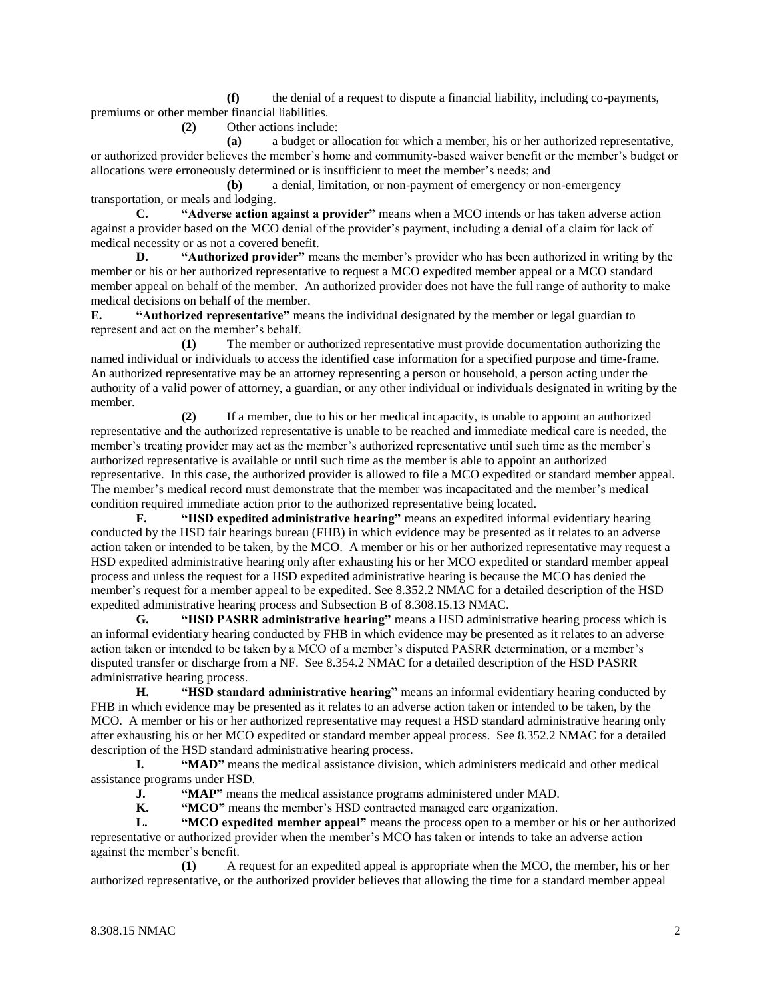**(f)** the denial of a request to dispute a financial liability, including co-payments, premiums or other member financial liabilities.

**(2)** Other actions include:

**(a)** a budget or allocation for which a member, his or her authorized representative, or authorized provider believes the member's home and community-based waiver benefit or the member's budget or allocations were erroneously determined or is insufficient to meet the member's needs; and

**(b)** a denial, limitation, or non-payment of emergency or non-emergency transportation, or meals and lodging.

**C. "Adverse action against a provider"** means when a MCO intends or has taken adverse action against a provider based on the MCO denial of the provider's payment, including a denial of a claim for lack of medical necessity or as not a covered benefit.

**D. "Authorized provider"** means the member's provider who has been authorized in writing by the member or his or her authorized representative to request a MCO expedited member appeal or a MCO standard member appeal on behalf of the member. An authorized provider does not have the full range of authority to make medical decisions on behalf of the member.

**E. "Authorized representative"** means the individual designated by the member or legal guardian to represent and act on the member's behalf.

**(1)** The member or authorized representative must provide documentation authorizing the named individual or individuals to access the identified case information for a specified purpose and time-frame. An authorized representative may be an attorney representing a person or household, a person acting under the authority of a valid power of attorney, a guardian, or any other individual or individuals designated in writing by the member.

**(2)** If a member, due to his or her medical incapacity, is unable to appoint an authorized representative and the authorized representative is unable to be reached and immediate medical care is needed, the member's treating provider may act as the member's authorized representative until such time as the member's authorized representative is available or until such time as the member is able to appoint an authorized representative. In this case, the authorized provider is allowed to file a MCO expedited or standard member appeal. The member's medical record must demonstrate that the member was incapacitated and the member's medical condition required immediate action prior to the authorized representative being located.

**F. "HSD expedited administrative hearing"** means an expedited informal evidentiary hearing conducted by the HSD fair hearings bureau (FHB) in which evidence may be presented as it relates to an adverse action taken or intended to be taken, by the MCO. A member or his or her authorized representative may request a HSD expedited administrative hearing only after exhausting his or her MCO expedited or standard member appeal process and unless the request for a HSD expedited administrative hearing is because the MCO has denied the member's request for a member appeal to be expedited. See 8.352.2 NMAC for a detailed description of the HSD expedited administrative hearing process and Subsection B of 8.308.15.13 NMAC.

**G. "HSD PASRR administrative hearing"** means a HSD administrative hearing process which is an informal evidentiary hearing conducted by FHB in which evidence may be presented as it relates to an adverse action taken or intended to be taken by a MCO of a member's disputed PASRR determination, or a member's disputed transfer or discharge from a NF. See 8.354.2 NMAC for a detailed description of the HSD PASRR administrative hearing process.

**H. "HSD standard administrative hearing"** means an informal evidentiary hearing conducted by FHB in which evidence may be presented as it relates to an adverse action taken or intended to be taken, by the MCO. A member or his or her authorized representative may request a HSD standard administrative hearing only after exhausting his or her MCO expedited or standard member appeal process. See 8.352.2 NMAC for a detailed description of the HSD standard administrative hearing process.

**I. "MAD"** means the medical assistance division, which administers medicaid and other medical assistance programs under HSD.

**J. "MAP"** means the medical assistance programs administered under MAD.

**K. "MCO"** means the member's HSD contracted managed care organization.

**L. "MCO expedited member appeal"** means the process open to a member or his or her authorized representative or authorized provider when the member's MCO has taken or intends to take an adverse action against the member's benefit.

**(1)** A request for an expedited appeal is appropriate when the MCO, the member, his or her authorized representative, or the authorized provider believes that allowing the time for a standard member appeal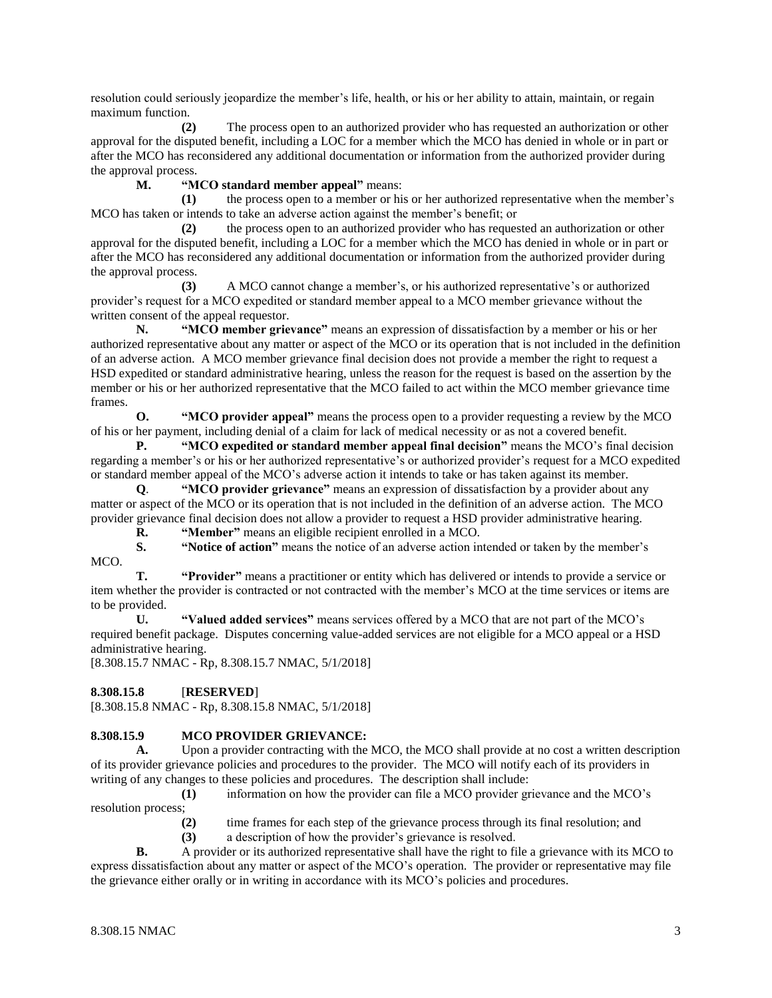resolution could seriously jeopardize the member's life, health, or his or her ability to attain, maintain, or regain maximum function.

**(2)** The process open to an authorized provider who has requested an authorization or other approval for the disputed benefit, including a LOC for a member which the MCO has denied in whole or in part or after the MCO has reconsidered any additional documentation or information from the authorized provider during the approval process.

**M. "MCO standard member appeal"** means:

**(1)** the process open to a member or his or her authorized representative when the member's MCO has taken or intends to take an adverse action against the member's benefit; or

**(2)** the process open to an authorized provider who has requested an authorization or other approval for the disputed benefit, including a LOC for a member which the MCO has denied in whole or in part or after the MCO has reconsidered any additional documentation or information from the authorized provider during the approval process.

**(3)** A MCO cannot change a member's, or his authorized representative's or authorized provider's request for a MCO expedited or standard member appeal to a MCO member grievance without the written consent of the appeal requestor.

**N. "MCO member grievance"** means an expression of dissatisfaction by a member or his or her authorized representative about any matter or aspect of the MCO or its operation that is not included in the definition of an adverse action. A MCO member grievance final decision does not provide a member the right to request a HSD expedited or standard administrative hearing, unless the reason for the request is based on the assertion by the member or his or her authorized representative that the MCO failed to act within the MCO member grievance time frames.

**O. "MCO provider appeal"** means the process open to a provider requesting a review by the MCO of his or her payment, including denial of a claim for lack of medical necessity or as not a covered benefit.

**P. "MCO expedited or standard member appeal final decision"** means the MCO's final decision regarding a member's or his or her authorized representative's or authorized provider's request for a MCO expedited or standard member appeal of the MCO's adverse action it intends to take or has taken against its member.

**Q**. **"MCO provider grievance"** means an expression of dissatisfaction by a provider about any matter or aspect of the MCO or its operation that is not included in the definition of an adverse action. The MCO provider grievance final decision does not allow a provider to request a HSD provider administrative hearing.

**R. "Member"** means an eligible recipient enrolled in a MCO.

**S. "Notice of action"** means the notice of an adverse action intended or taken by the member's MCO.

**T. "Provider"** means a practitioner or entity which has delivered or intends to provide a service or item whether the provider is contracted or not contracted with the member's MCO at the time services or items are to be provided.

**U. "Valued added services"** means services offered by a MCO that are not part of the MCO's required benefit package. Disputes concerning value-added services are not eligible for a MCO appeal or a HSD administrative hearing.

[8.308.15.7 NMAC - Rp, 8.308.15.7 NMAC, 5/1/2018]

**8.308.15.8** [**RESERVED**]

[8.308.15.8 NMAC - Rp, 8.308.15.8 NMAC, 5/1/2018]

## **8.308.15.9 MCO PROVIDER GRIEVANCE:**

**A.** Upon a provider contracting with the MCO, the MCO shall provide at no cost a written description of its provider grievance policies and procedures to the provider. The MCO will notify each of its providers in writing of any changes to these policies and procedures. The description shall include:

**(1)** information on how the provider can file a MCO provider grievance and the MCO's resolution process;

**(2)** time frames for each step of the grievance process through its final resolution; and

**(3)** a description of how the provider's grievance is resolved.

**B.** A provider or its authorized representative shall have the right to file a grievance with its MCO to express dissatisfaction about any matter or aspect of the MCO's operation. The provider or representative may file the grievance either orally or in writing in accordance with its MCO's policies and procedures.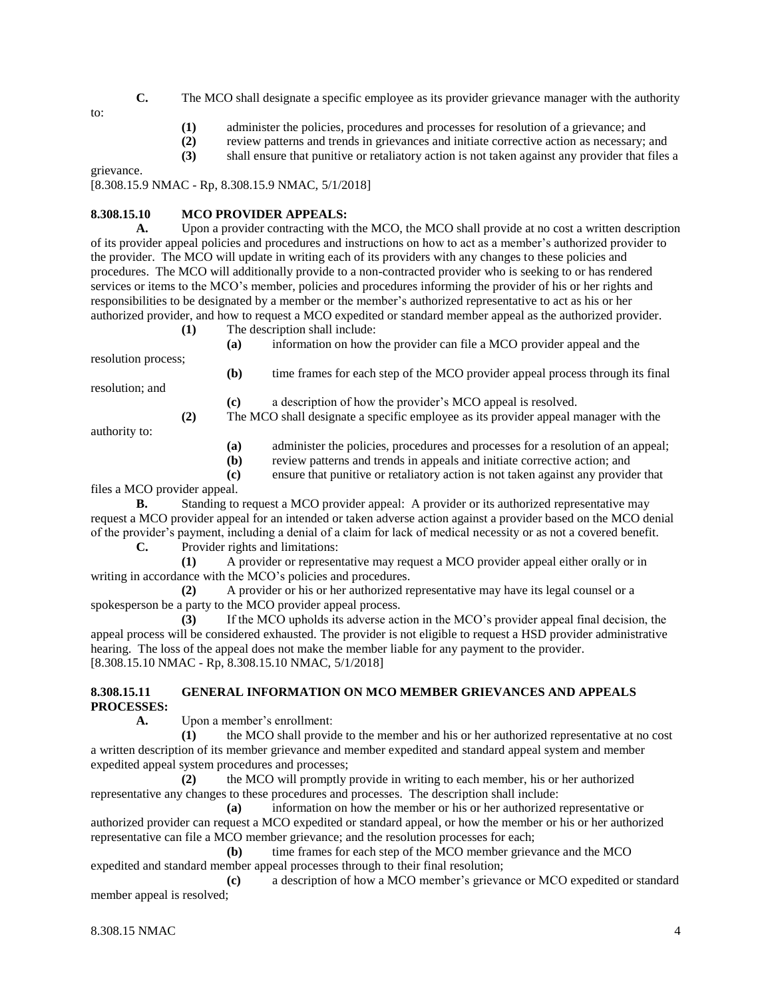**C.** The MCO shall designate a specific employee as its provider grievance manager with the authority

to:

- **(1)** administer the policies, procedures and processes for resolution of a grievance; and
- **(2)** review patterns and trends in grievances and initiate corrective action as necessary; and
- **(3)** shall ensure that punitive or retaliatory action is not taken against any provider that files a

grievance.

[8.308.15.9 NMAC - Rp, 8.308.15.9 NMAC, 5/1/2018]

#### **8.308.15.10 MCO PROVIDER APPEALS:**

**A.** Upon a provider contracting with the MCO, the MCO shall provide at no cost a written description of its provider appeal policies and procedures and instructions on how to act as a member's authorized provider to the provider. The MCO will update in writing each of its providers with any changes to these policies and procedures. The MCO will additionally provide to a non-contracted provider who is seeking to or has rendered services or items to the MCO's member, policies and procedures informing the provider of his or her rights and responsibilities to be designated by a member or the member's authorized representative to act as his or her authorized provider, and how to request a MCO expedited or standard member appeal as the authorized provider.

**(1)** The description shall include:

resolution process;

**(a)** information on how the provider can file a MCO provider appeal and the

**(b)** time frames for each step of the MCO provider appeal process through its final **(c)** a description of how the provider's MCO appeal is resolved.

authority to:

resolution; and

- **(a)** administer the policies, procedures and processes for a resolution of an appeal;
- **(b)** review patterns and trends in appeals and initiate corrective action; and

**(2)** The MCO shall designate a specific employee as its provider appeal manager with the

**(c)** ensure that punitive or retaliatory action is not taken against any provider that

files a MCO provider appeal.

- **B.** Standing to request a MCO provider appeal: A provider or its authorized representative may request a MCO provider appeal for an intended or taken adverse action against a provider based on the MCO denial of the provider's payment, including a denial of a claim for lack of medical necessity or as not a covered benefit.
	- **C.** Provider rights and limitations:
- **(1)** A provider or representative may request a MCO provider appeal either orally or in writing in accordance with the MCO's policies and procedures.

**(2)** A provider or his or her authorized representative may have its legal counsel or a spokesperson be a party to the MCO provider appeal process.

**(3)** If the MCO upholds its adverse action in the MCO's provider appeal final decision, the appeal process will be considered exhausted. The provider is not eligible to request a HSD provider administrative hearing. The loss of the appeal does not make the member liable for any payment to the provider. [8.308.15.10 NMAC - Rp, 8.308.15.10 NMAC, 5/1/2018]

#### **8.308.15.11 GENERAL INFORMATION ON MCO MEMBER GRIEVANCES AND APPEALS PROCESSES:**

**A.** Upon a member's enrollment:

**(1)** the MCO shall provide to the member and his or her authorized representative at no cost a written description of its member grievance and member expedited and standard appeal system and member expedited appeal system procedures and processes;

**(2)** the MCO will promptly provide in writing to each member, his or her authorized representative any changes to these procedures and processes. The description shall include:

**(a)** information on how the member or his or her authorized representative or authorized provider can request a MCO expedited or standard appeal, or how the member or his or her authorized representative can file a MCO member grievance; and the resolution processes for each;

**(b)** time frames for each step of the MCO member grievance and the MCO expedited and standard member appeal processes through to their final resolution;

**(c)** a description of how a MCO member's grievance or MCO expedited or standard member appeal is resolved;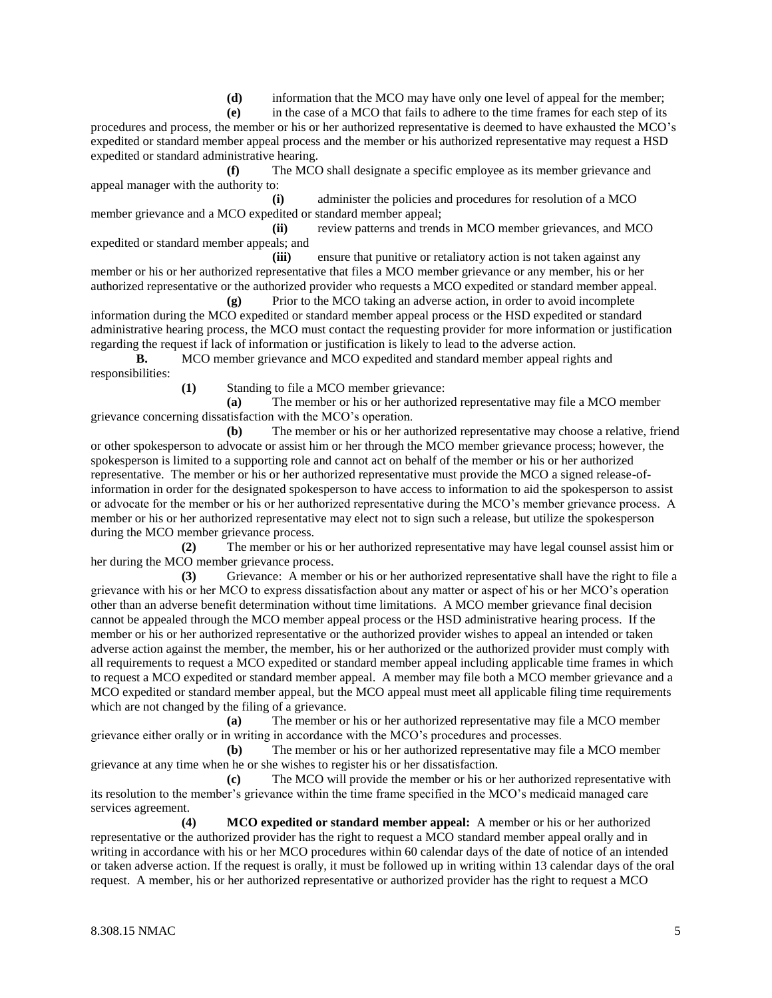**(d)** information that the MCO may have only one level of appeal for the member;

**(e)** in the case of a MCO that fails to adhere to the time frames for each step of its procedures and process, the member or his or her authorized representative is deemed to have exhausted the MCO's expedited or standard member appeal process and the member or his authorized representative may request a HSD expedited or standard administrative hearing.

**(f)** The MCO shall designate a specific employee as its member grievance and appeal manager with the authority to:

**(i)** administer the policies and procedures for resolution of a MCO member grievance and a MCO expedited or standard member appeal;

**(ii)** review patterns and trends in MCO member grievances, and MCO expedited or standard member appeals; and

**(iii)** ensure that punitive or retaliatory action is not taken against any member or his or her authorized representative that files a MCO member grievance or any member, his or her authorized representative or the authorized provider who requests a MCO expedited or standard member appeal.

**(g)** Prior to the MCO taking an adverse action, in order to avoid incomplete information during the MCO expedited or standard member appeal process or the HSD expedited or standard administrative hearing process, the MCO must contact the requesting provider for more information or justification regarding the request if lack of information or justification is likely to lead to the adverse action.

**B.** MCO member grievance and MCO expedited and standard member appeal rights and responsibilities:

**(1)** Standing to file a MCO member grievance:

**(a)** The member or his or her authorized representative may file a MCO member grievance concerning dissatisfaction with the MCO's operation.

**(b)** The member or his or her authorized representative may choose a relative, friend or other spokesperson to advocate or assist him or her through the MCO member grievance process; however, the spokesperson is limited to a supporting role and cannot act on behalf of the member or his or her authorized representative. The member or his or her authorized representative must provide the MCO a signed release-ofinformation in order for the designated spokesperson to have access to information to aid the spokesperson to assist or advocate for the member or his or her authorized representative during the MCO's member grievance process. A member or his or her authorized representative may elect not to sign such a release, but utilize the spokesperson during the MCO member grievance process.

**(2)** The member or his or her authorized representative may have legal counsel assist him or her during the MCO member grievance process.

**(3)** Grievance: A member or his or her authorized representative shall have the right to file a grievance with his or her MCO to express dissatisfaction about any matter or aspect of his or her MCO's operation other than an adverse benefit determination without time limitations. A MCO member grievance final decision cannot be appealed through the MCO member appeal process or the HSD administrative hearing process. If the member or his or her authorized representative or the authorized provider wishes to appeal an intended or taken adverse action against the member, the member, his or her authorized or the authorized provider must comply with all requirements to request a MCO expedited or standard member appeal including applicable time frames in which to request a MCO expedited or standard member appeal. A member may file both a MCO member grievance and a MCO expedited or standard member appeal, but the MCO appeal must meet all applicable filing time requirements which are not changed by the filing of a grievance.

**(a)** The member or his or her authorized representative may file a MCO member grievance either orally or in writing in accordance with the MCO's procedures and processes.

**(b)** The member or his or her authorized representative may file a MCO member grievance at any time when he or she wishes to register his or her dissatisfaction.

**(c)** The MCO will provide the member or his or her authorized representative with its resolution to the member's grievance within the time frame specified in the MCO's medicaid managed care services agreement.

**(4) MCO expedited or standard member appeal:** A member or his or her authorized representative or the authorized provider has the right to request a MCO standard member appeal orally and in writing in accordance with his or her MCO procedures within 60 calendar days of the date of notice of an intended or taken adverse action. If the request is orally, it must be followed up in writing within 13 calendar days of the oral request. A member, his or her authorized representative or authorized provider has the right to request a MCO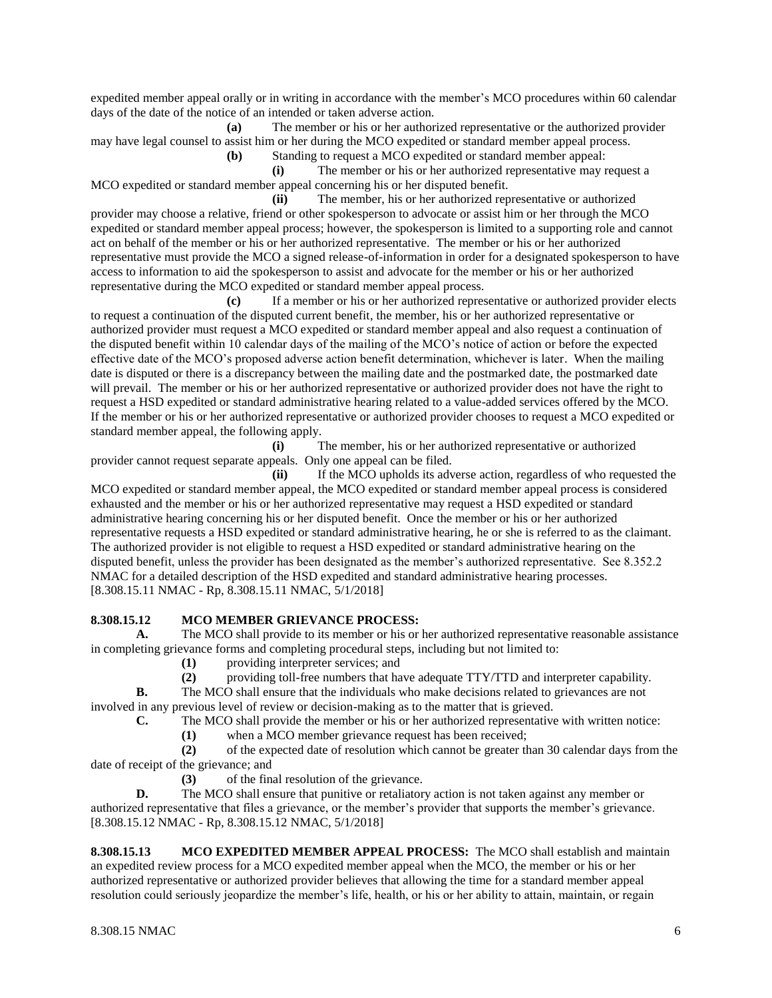expedited member appeal orally or in writing in accordance with the member's MCO procedures within 60 calendar days of the date of the notice of an intended or taken adverse action.

**(a)** The member or his or her authorized representative or the authorized provider may have legal counsel to assist him or her during the MCO expedited or standard member appeal process.

**(b)** Standing to request a MCO expedited or standard member appeal:

**(i)** The member or his or her authorized representative may request a MCO expedited or standard member appeal concerning his or her disputed benefit.

**(ii)** The member, his or her authorized representative or authorized provider may choose a relative, friend or other spokesperson to advocate or assist him or her through the MCO expedited or standard member appeal process; however, the spokesperson is limited to a supporting role and cannot act on behalf of the member or his or her authorized representative. The member or his or her authorized representative must provide the MCO a signed release-of-information in order for a designated spokesperson to have access to information to aid the spokesperson to assist and advocate for the member or his or her authorized representative during the MCO expedited or standard member appeal process.

**(c)** If a member or his or her authorized representative or authorized provider elects to request a continuation of the disputed current benefit, the member, his or her authorized representative or authorized provider must request a MCO expedited or standard member appeal and also request a continuation of the disputed benefit within 10 calendar days of the mailing of the MCO's notice of action or before the expected effective date of the MCO's proposed adverse action benefit determination, whichever is later. When the mailing date is disputed or there is a discrepancy between the mailing date and the postmarked date, the postmarked date will prevail. The member or his or her authorized representative or authorized provider does not have the right to request a HSD expedited or standard administrative hearing related to a value-added services offered by the MCO. If the member or his or her authorized representative or authorized provider chooses to request a MCO expedited or standard member appeal, the following apply.

**(i)** The member, his or her authorized representative or authorized provider cannot request separate appeals. Only one appeal can be filed.

**(ii)** If the MCO upholds its adverse action, regardless of who requested the MCO expedited or standard member appeal, the MCO expedited or standard member appeal process is considered exhausted and the member or his or her authorized representative may request a HSD expedited or standard administrative hearing concerning his or her disputed benefit. Once the member or his or her authorized representative requests a HSD expedited or standard administrative hearing, he or she is referred to as the claimant. The authorized provider is not eligible to request a HSD expedited or standard administrative hearing on the disputed benefit, unless the provider has been designated as the member's authorized representative. See 8.352.2 NMAC for a detailed description of the HSD expedited and standard administrative hearing processes. [8.308.15.11 NMAC - Rp, 8.308.15.11 NMAC, 5/1/2018]

## **8.308.15.12 MCO MEMBER GRIEVANCE PROCESS:**

**A.** The MCO shall provide to its member or his or her authorized representative reasonable assistance in completing grievance forms and completing procedural steps, including but not limited to:

- **(1)** providing interpreter services; and
- **(2)** providing toll-free numbers that have adequate TTY/TTD and interpreter capability.

**B.** The MCO shall ensure that the individuals who make decisions related to grievances are not involved in any previous level of review or decision-making as to the matter that is grieved.

**C.** The MCO shall provide the member or his or her authorized representative with written notice:

**(1)** when a MCO member grievance request has been received;

**(2)** of the expected date of resolution which cannot be greater than 30 calendar days from the date of receipt of the grievance; and

**(3)** of the final resolution of the grievance.

**D.** The MCO shall ensure that punitive or retaliatory action is not taken against any member or authorized representative that files a grievance, or the member's provider that supports the member's grievance. [8.308.15.12 NMAC - Rp, 8.308.15.12 NMAC, 5/1/2018]

**8.308.15.13 MCO EXPEDITED MEMBER APPEAL PROCESS:** The MCO shall establish and maintain an expedited review process for a MCO expedited member appeal when the MCO, the member or his or her authorized representative or authorized provider believes that allowing the time for a standard member appeal resolution could seriously jeopardize the member's life, health, or his or her ability to attain, maintain, or regain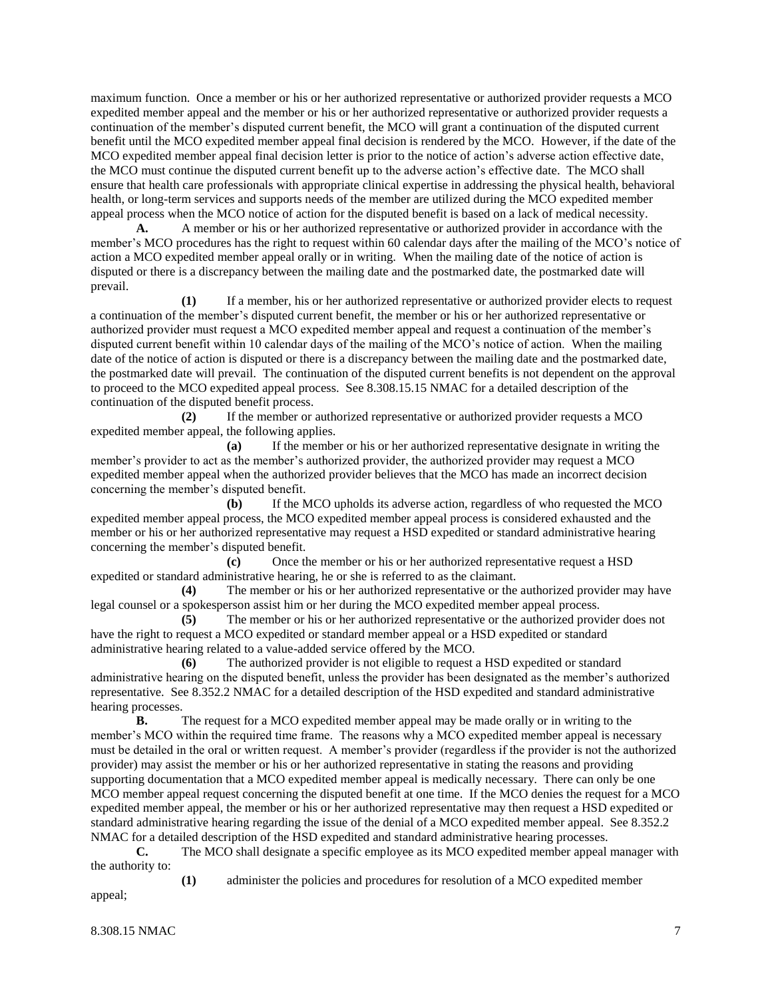maximum function. Once a member or his or her authorized representative or authorized provider requests a MCO expedited member appeal and the member or his or her authorized representative or authorized provider requests a continuation of the member's disputed current benefit, the MCO will grant a continuation of the disputed current benefit until the MCO expedited member appeal final decision is rendered by the MCO. However, if the date of the MCO expedited member appeal final decision letter is prior to the notice of action's adverse action effective date, the MCO must continue the disputed current benefit up to the adverse action's effective date. The MCO shall ensure that health care professionals with appropriate clinical expertise in addressing the physical health, behavioral health, or long-term services and supports needs of the member are utilized during the MCO expedited member appeal process when the MCO notice of action for the disputed benefit is based on a lack of medical necessity.

**A.** A member or his or her authorized representative or authorized provider in accordance with the member's MCO procedures has the right to request within 60 calendar days after the mailing of the MCO's notice of action a MCO expedited member appeal orally or in writing. When the mailing date of the notice of action is disputed or there is a discrepancy between the mailing date and the postmarked date, the postmarked date will prevail.

**(1)** If a member, his or her authorized representative or authorized provider elects to request a continuation of the member's disputed current benefit, the member or his or her authorized representative or authorized provider must request a MCO expedited member appeal and request a continuation of the member's disputed current benefit within 10 calendar days of the mailing of the MCO's notice of action. When the mailing date of the notice of action is disputed or there is a discrepancy between the mailing date and the postmarked date, the postmarked date will prevail. The continuation of the disputed current benefits is not dependent on the approval to proceed to the MCO expedited appeal process. See 8.308.15.15 NMAC for a detailed description of the continuation of the disputed benefit process.

**(2)** If the member or authorized representative or authorized provider requests a MCO expedited member appeal, the following applies.

**(a)** If the member or his or her authorized representative designate in writing the member's provider to act as the member's authorized provider, the authorized provider may request a MCO expedited member appeal when the authorized provider believes that the MCO has made an incorrect decision concerning the member's disputed benefit.

**(b)** If the MCO upholds its adverse action, regardless of who requested the MCO expedited member appeal process, the MCO expedited member appeal process is considered exhausted and the member or his or her authorized representative may request a HSD expedited or standard administrative hearing concerning the member's disputed benefit.

**(c)** Once the member or his or her authorized representative request a HSD expedited or standard administrative hearing, he or she is referred to as the claimant.

**(4)** The member or his or her authorized representative or the authorized provider may have legal counsel or a spokesperson assist him or her during the MCO expedited member appeal process.

**(5)** The member or his or her authorized representative or the authorized provider does not have the right to request a MCO expedited or standard member appeal or a HSD expedited or standard administrative hearing related to a value-added service offered by the MCO.

**(6)** The authorized provider is not eligible to request a HSD expedited or standard administrative hearing on the disputed benefit, unless the provider has been designated as the member's authorized representative. See 8.352.2 NMAC for a detailed description of the HSD expedited and standard administrative hearing processes.

**B.** The request for a MCO expedited member appeal may be made orally or in writing to the member's MCO within the required time frame. The reasons why a MCO expedited member appeal is necessary must be detailed in the oral or written request. A member's provider (regardless if the provider is not the authorized provider) may assist the member or his or her authorized representative in stating the reasons and providing supporting documentation that a MCO expedited member appeal is medically necessary. There can only be one MCO member appeal request concerning the disputed benefit at one time. If the MCO denies the request for a MCO expedited member appeal, the member or his or her authorized representative may then request a HSD expedited or standard administrative hearing regarding the issue of the denial of a MCO expedited member appeal. See 8.352.2 NMAC for a detailed description of the HSD expedited and standard administrative hearing processes.

**C.** The MCO shall designate a specific employee as its MCO expedited member appeal manager with the authority to:

**(1)** administer the policies and procedures for resolution of a MCO expedited member

appeal;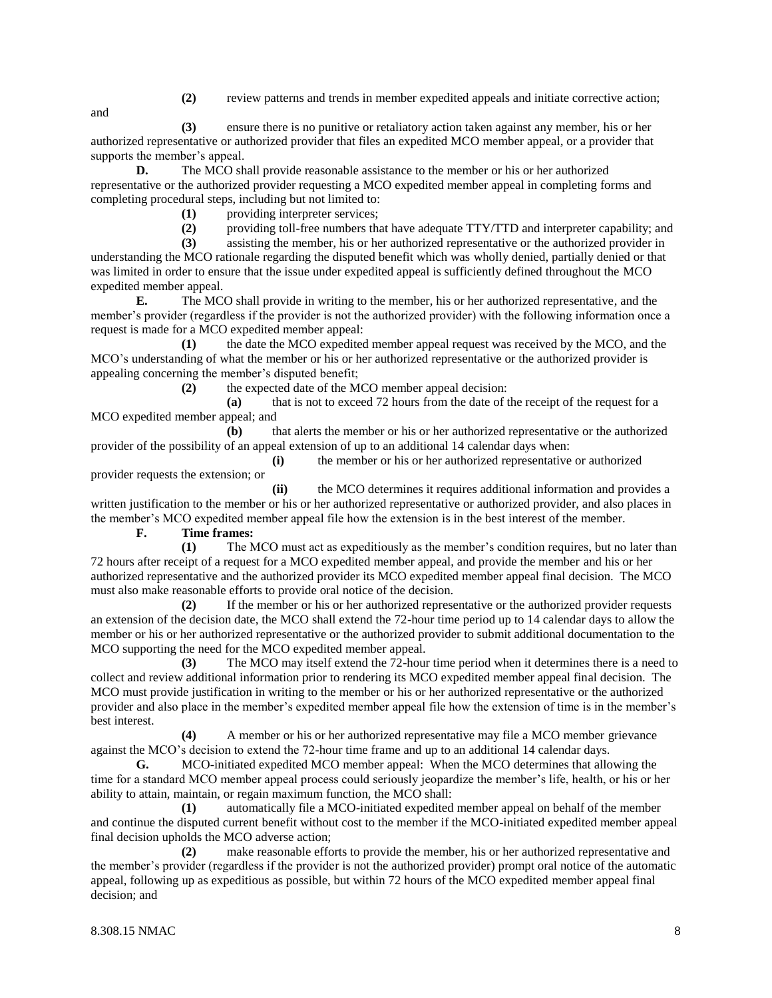**(2)** review patterns and trends in member expedited appeals and initiate corrective action;

and

**(3)** ensure there is no punitive or retaliatory action taken against any member, his or her authorized representative or authorized provider that files an expedited MCO member appeal, or a provider that supports the member's appeal.

**D.** The MCO shall provide reasonable assistance to the member or his or her authorized representative or the authorized provider requesting a MCO expedited member appeal in completing forms and completing procedural steps, including but not limited to:

**(1)** providing interpreter services;

**(2)** providing toll-free numbers that have adequate TTY/TTD and interpreter capability; and

**(3)** assisting the member, his or her authorized representative or the authorized provider in understanding the MCO rationale regarding the disputed benefit which was wholly denied, partially denied or that was limited in order to ensure that the issue under expedited appeal is sufficiently defined throughout the MCO expedited member appeal.

**E.** The MCO shall provide in writing to the member, his or her authorized representative, and the member's provider (regardless if the provider is not the authorized provider) with the following information once a request is made for a MCO expedited member appeal:

**(1)** the date the MCO expedited member appeal request was received by the MCO, and the MCO's understanding of what the member or his or her authorized representative or the authorized provider is appealing concerning the member's disputed benefit;

**(2)** the expected date of the MCO member appeal decision:

**(a)** that is not to exceed 72 hours from the date of the receipt of the request for a MCO expedited member appeal; and

**(b)** that alerts the member or his or her authorized representative or the authorized provider of the possibility of an appeal extension of up to an additional 14 calendar days when:

**(i)** the member or his or her authorized representative or authorized

provider requests the extension; or

**(ii)** the MCO determines it requires additional information and provides a written justification to the member or his or her authorized representative or authorized provider, and also places in the member's MCO expedited member appeal file how the extension is in the best interest of the member.

**F. Time frames:**

**(1)** The MCO must act as expeditiously as the member's condition requires, but no later than 72 hours after receipt of a request for a MCO expedited member appeal, and provide the member and his or her authorized representative and the authorized provider its MCO expedited member appeal final decision. The MCO must also make reasonable efforts to provide oral notice of the decision.

**(2)** If the member or his or her authorized representative or the authorized provider requests an extension of the decision date, the MCO shall extend the 72-hour time period up to 14 calendar days to allow the member or his or her authorized representative or the authorized provider to submit additional documentation to the MCO supporting the need for the MCO expedited member appeal.

**(3)** The MCO may itself extend the 72-hour time period when it determines there is a need to collect and review additional information prior to rendering its MCO expedited member appeal final decision. The MCO must provide justification in writing to the member or his or her authorized representative or the authorized provider and also place in the member's expedited member appeal file how the extension of time is in the member's best interest.

**(4)** A member or his or her authorized representative may file a MCO member grievance against the MCO's decision to extend the 72-hour time frame and up to an additional 14 calendar days.

**G.** MCO-initiated expedited MCO member appeal: When the MCO determines that allowing the time for a standard MCO member appeal process could seriously jeopardize the member's life, health, or his or her ability to attain, maintain, or regain maximum function, the MCO shall:

**(1)** automatically file a MCO-initiated expedited member appeal on behalf of the member and continue the disputed current benefit without cost to the member if the MCO-initiated expedited member appeal final decision upholds the MCO adverse action;

**(2)** make reasonable efforts to provide the member, his or her authorized representative and the member's provider (regardless if the provider is not the authorized provider) prompt oral notice of the automatic appeal, following up as expeditious as possible, but within 72 hours of the MCO expedited member appeal final decision; and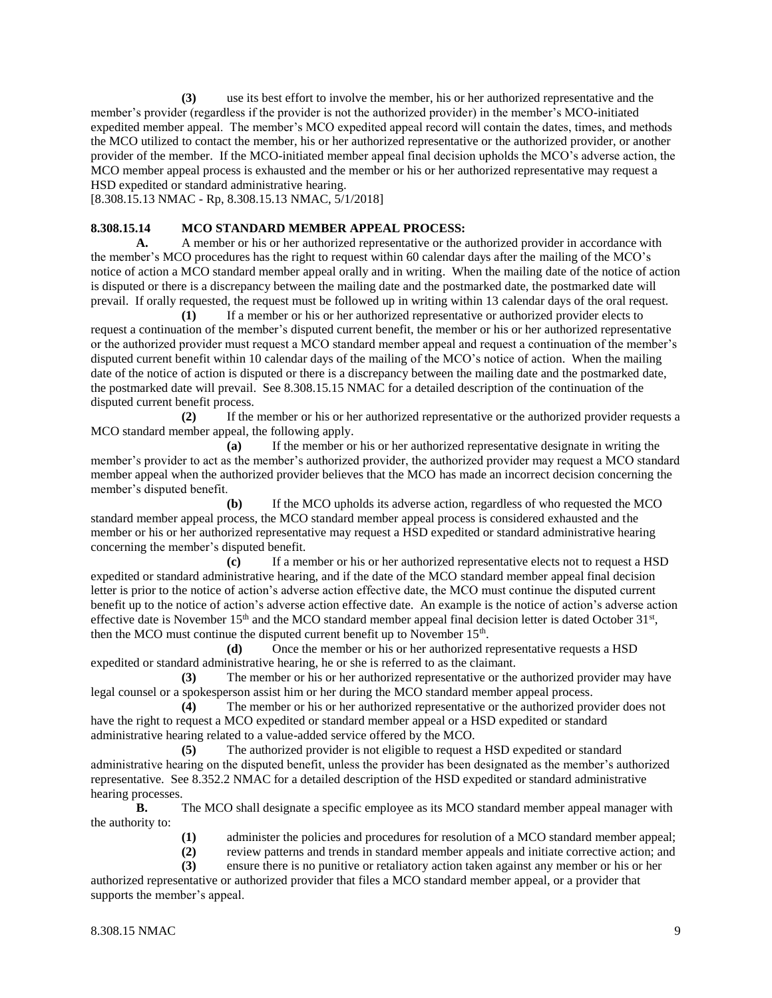**(3)** use its best effort to involve the member, his or her authorized representative and the member's provider (regardless if the provider is not the authorized provider) in the member's MCO-initiated expedited member appeal. The member's MCO expedited appeal record will contain the dates, times, and methods the MCO utilized to contact the member, his or her authorized representative or the authorized provider, or another provider of the member. If the MCO-initiated member appeal final decision upholds the MCO's adverse action, the MCO member appeal process is exhausted and the member or his or her authorized representative may request a HSD expedited or standard administrative hearing.

[8.308.15.13 NMAC - Rp, 8.308.15.13 NMAC, 5/1/2018]

#### **8.308.15.14 MCO STANDARD MEMBER APPEAL PROCESS:**

A. A member or his or her authorized representative or the authorized provider in accordance with the member's MCO procedures has the right to request within 60 calendar days after the mailing of the MCO's notice of action a MCO standard member appeal orally and in writing. When the mailing date of the notice of action is disputed or there is a discrepancy between the mailing date and the postmarked date, the postmarked date will prevail. If orally requested, the request must be followed up in writing within 13 calendar days of the oral request.

**(1)** If a member or his or her authorized representative or authorized provider elects to request a continuation of the member's disputed current benefit, the member or his or her authorized representative or the authorized provider must request a MCO standard member appeal and request a continuation of the member's disputed current benefit within 10 calendar days of the mailing of the MCO's notice of action. When the mailing date of the notice of action is disputed or there is a discrepancy between the mailing date and the postmarked date, the postmarked date will prevail. See 8.308.15.15 NMAC for a detailed description of the continuation of the disputed current benefit process.

**(2)** If the member or his or her authorized representative or the authorized provider requests a MCO standard member appeal, the following apply.

**(a)** If the member or his or her authorized representative designate in writing the member's provider to act as the member's authorized provider, the authorized provider may request a MCO standard member appeal when the authorized provider believes that the MCO has made an incorrect decision concerning the member's disputed benefit.

**(b)** If the MCO upholds its adverse action, regardless of who requested the MCO standard member appeal process, the MCO standard member appeal process is considered exhausted and the member or his or her authorized representative may request a HSD expedited or standard administrative hearing concerning the member's disputed benefit.

**(c)** If a member or his or her authorized representative elects not to request a HSD expedited or standard administrative hearing, and if the date of the MCO standard member appeal final decision letter is prior to the notice of action's adverse action effective date, the MCO must continue the disputed current benefit up to the notice of action's adverse action effective date. An example is the notice of action's adverse action effective date is November  $15<sup>th</sup>$  and the MCO standard member appeal final decision letter is dated October  $31<sup>st</sup>$ , then the MCO must continue the disputed current benefit up to November  $15<sup>th</sup>$ .

**(d)** Once the member or his or her authorized representative requests a HSD expedited or standard administrative hearing, he or she is referred to as the claimant.

**(3)** The member or his or her authorized representative or the authorized provider may have legal counsel or a spokesperson assist him or her during the MCO standard member appeal process.

**(4)** The member or his or her authorized representative or the authorized provider does not have the right to request a MCO expedited or standard member appeal or a HSD expedited or standard administrative hearing related to a value-added service offered by the MCO.

**(5)** The authorized provider is not eligible to request a HSD expedited or standard administrative hearing on the disputed benefit, unless the provider has been designated as the member's authorized representative. See 8.352.2 NMAC for a detailed description of the HSD expedited or standard administrative hearing processes.

**B.** The MCO shall designate a specific employee as its MCO standard member appeal manager with the authority to:

**(1)** administer the policies and procedures for resolution of a MCO standard member appeal;

- **(2)** review patterns and trends in standard member appeals and initiate corrective action; and
- **(3)** ensure there is no punitive or retaliatory action taken against any member or his or her

authorized representative or authorized provider that files a MCO standard member appeal, or a provider that supports the member's appeal.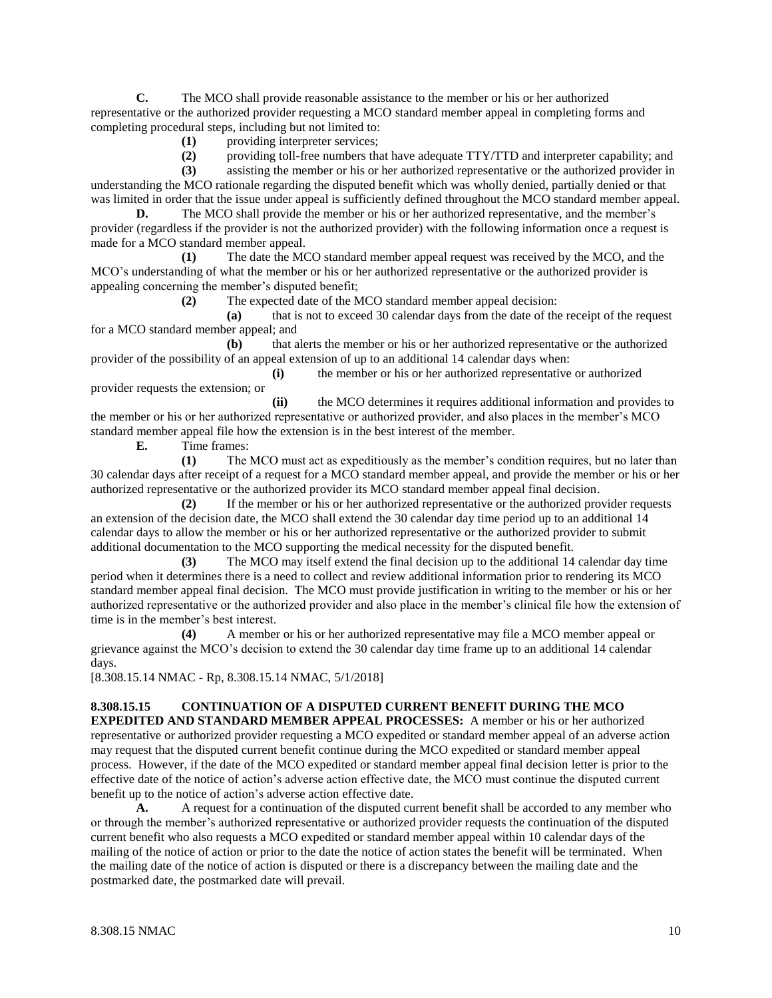**C.** The MCO shall provide reasonable assistance to the member or his or her authorized representative or the authorized provider requesting a MCO standard member appeal in completing forms and completing procedural steps, including but not limited to:

**(1)** providing interpreter services;

**(2)** providing toll-free numbers that have adequate TTY/TTD and interpreter capability; and

**(3)** assisting the member or his or her authorized representative or the authorized provider in understanding the MCO rationale regarding the disputed benefit which was wholly denied, partially denied or that was limited in order that the issue under appeal is sufficiently defined throughout the MCO standard member appeal.

**D.** The MCO shall provide the member or his or her authorized representative, and the member's provider (regardless if the provider is not the authorized provider) with the following information once a request is made for a MCO standard member appeal.

**(1)** The date the MCO standard member appeal request was received by the MCO, and the MCO's understanding of what the member or his or her authorized representative or the authorized provider is appealing concerning the member's disputed benefit;

**(2)** The expected date of the MCO standard member appeal decision:

**(a)** that is not to exceed 30 calendar days from the date of the receipt of the request for a MCO standard member appeal; and

**(b)** that alerts the member or his or her authorized representative or the authorized provider of the possibility of an appeal extension of up to an additional 14 calendar days when:

**(i)** the member or his or her authorized representative or authorized provider requests the extension; or

**(ii)** the MCO determines it requires additional information and provides to the member or his or her authorized representative or authorized provider, and also places in the member's MCO standard member appeal file how the extension is in the best interest of the member.

**E.** Time frames:

**(1)** The MCO must act as expeditiously as the member's condition requires, but no later than 30 calendar days after receipt of a request for a MCO standard member appeal, and provide the member or his or her authorized representative or the authorized provider its MCO standard member appeal final decision.

**(2)** If the member or his or her authorized representative or the authorized provider requests an extension of the decision date, the MCO shall extend the 30 calendar day time period up to an additional 14 calendar days to allow the member or his or her authorized representative or the authorized provider to submit additional documentation to the MCO supporting the medical necessity for the disputed benefit.

**(3)** The MCO may itself extend the final decision up to the additional 14 calendar day time period when it determines there is a need to collect and review additional information prior to rendering its MCO standard member appeal final decision. The MCO must provide justification in writing to the member or his or her authorized representative or the authorized provider and also place in the member's clinical file how the extension of time is in the member's best interest.

**(4)** A member or his or her authorized representative may file a MCO member appeal or grievance against the MCO's decision to extend the 30 calendar day time frame up to an additional 14 calendar days.

[8.308.15.14 NMAC - Rp, 8.308.15.14 NMAC, 5/1/2018]

# **8.308.15.15 CONTINUATION OF A DISPUTED CURRENT BENEFIT DURING THE MCO**

**EXPEDITED AND STANDARD MEMBER APPEAL PROCESSES:** A member or his or her authorized representative or authorized provider requesting a MCO expedited or standard member appeal of an adverse action may request that the disputed current benefit continue during the MCO expedited or standard member appeal process. However, if the date of the MCO expedited or standard member appeal final decision letter is prior to the effective date of the notice of action's adverse action effective date, the MCO must continue the disputed current benefit up to the notice of action's adverse action effective date.

**A.** A request for a continuation of the disputed current benefit shall be accorded to any member who or through the member's authorized representative or authorized provider requests the continuation of the disputed current benefit who also requests a MCO expedited or standard member appeal within 10 calendar days of the mailing of the notice of action or prior to the date the notice of action states the benefit will be terminated. When the mailing date of the notice of action is disputed or there is a discrepancy between the mailing date and the postmarked date, the postmarked date will prevail.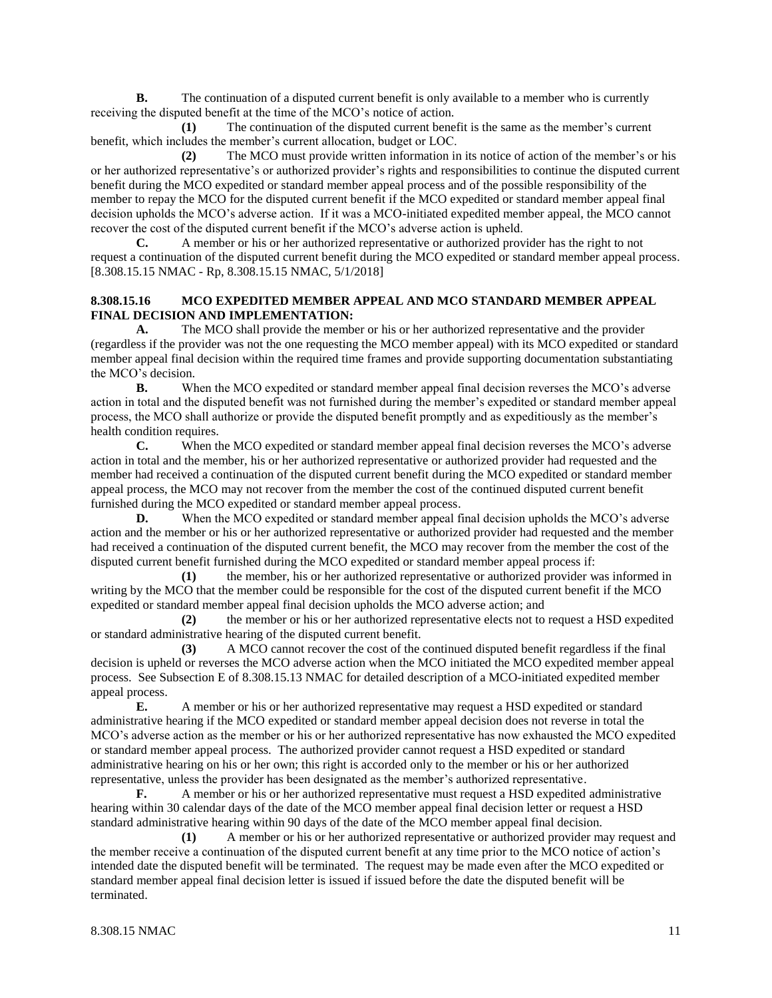**B.** The continuation of a disputed current benefit is only available to a member who is currently receiving the disputed benefit at the time of the MCO's notice of action.

**(1)** The continuation of the disputed current benefit is the same as the member's current benefit, which includes the member's current allocation, budget or LOC.

**(2)** The MCO must provide written information in its notice of action of the member's or his or her authorized representative's or authorized provider's rights and responsibilities to continue the disputed current benefit during the MCO expedited or standard member appeal process and of the possible responsibility of the member to repay the MCO for the disputed current benefit if the MCO expedited or standard member appeal final decision upholds the MCO's adverse action. If it was a MCO-initiated expedited member appeal, the MCO cannot recover the cost of the disputed current benefit if the MCO's adverse action is upheld.

**C.** A member or his or her authorized representative or authorized provider has the right to not request a continuation of the disputed current benefit during the MCO expedited or standard member appeal process. [8.308.15.15 NMAC - Rp, 8.308.15.15 NMAC, 5/1/2018]

## **8.308.15.16 MCO EXPEDITED MEMBER APPEAL AND MCO STANDARD MEMBER APPEAL FINAL DECISION AND IMPLEMENTATION:**

**A.** The MCO shall provide the member or his or her authorized representative and the provider (regardless if the provider was not the one requesting the MCO member appeal) with its MCO expedited or standard member appeal final decision within the required time frames and provide supporting documentation substantiating the MCO's decision.

**B.** When the MCO expedited or standard member appeal final decision reverses the MCO's adverse action in total and the disputed benefit was not furnished during the member's expedited or standard member appeal process, the MCO shall authorize or provide the disputed benefit promptly and as expeditiously as the member's health condition requires.

**C.** When the MCO expedited or standard member appeal final decision reverses the MCO's adverse action in total and the member, his or her authorized representative or authorized provider had requested and the member had received a continuation of the disputed current benefit during the MCO expedited or standard member appeal process, the MCO may not recover from the member the cost of the continued disputed current benefit furnished during the MCO expedited or standard member appeal process.

**D.** When the MCO expedited or standard member appeal final decision upholds the MCO's adverse action and the member or his or her authorized representative or authorized provider had requested and the member had received a continuation of the disputed current benefit, the MCO may recover from the member the cost of the disputed current benefit furnished during the MCO expedited or standard member appeal process if:

**(1)** the member, his or her authorized representative or authorized provider was informed in writing by the MCO that the member could be responsible for the cost of the disputed current benefit if the MCO expedited or standard member appeal final decision upholds the MCO adverse action; and

**(2)** the member or his or her authorized representative elects not to request a HSD expedited or standard administrative hearing of the disputed current benefit.

**(3)** A MCO cannot recover the cost of the continued disputed benefit regardless if the final decision is upheld or reverses the MCO adverse action when the MCO initiated the MCO expedited member appeal process. See Subsection E of 8.308.15.13 NMAC for detailed description of a MCO-initiated expedited member appeal process.

**E.** A member or his or her authorized representative may request a HSD expedited or standard administrative hearing if the MCO expedited or standard member appeal decision does not reverse in total the MCO's adverse action as the member or his or her authorized representative has now exhausted the MCO expedited or standard member appeal process. The authorized provider cannot request a HSD expedited or standard administrative hearing on his or her own; this right is accorded only to the member or his or her authorized representative, unless the provider has been designated as the member's authorized representative.

**F.** A member or his or her authorized representative must request a HSD expedited administrative hearing within 30 calendar days of the date of the MCO member appeal final decision letter or request a HSD standard administrative hearing within 90 days of the date of the MCO member appeal final decision.

**(1)** A member or his or her authorized representative or authorized provider may request and the member receive a continuation of the disputed current benefit at any time prior to the MCO notice of action's intended date the disputed benefit will be terminated. The request may be made even after the MCO expedited or standard member appeal final decision letter is issued if issued before the date the disputed benefit will be terminated.